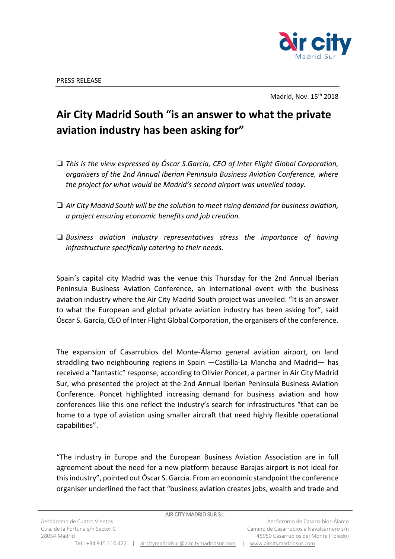

Madrid, Nov. 15<sup>th</sup> 2018

## **Air City Madrid South "is an answer to what the private aviation industry has been asking for"**

- ❏ *This is the view expressed by Óscar S.García, CEO of Inter Flight Global Corporation, organisers of the 2nd Annual Iberian Peninsula Business Aviation Conference, where the project for what would be Madrid's second airport was unveiled today.*
- ❏ *Air City Madrid South will be the solution to meet rising demand for business aviation, a project ensuring economic benefits and job creation.*
- ❏ *Business aviation industry representatives stress the importance of having infrastructure specifically catering to their needs.*

Spain's capital city Madrid was the venue this Thursday for the 2nd Annual Iberian Peninsula Business Aviation Conference, an international event with the business aviation industry where the Air City Madrid South project was unveiled. "It is an answer to what the European and global private aviation industry has been asking for", said Óscar S. García, CEO of Inter Flight Global Corporation, the organisers of the conference.

The expansion of Casarrubios del Monte-Álamo general aviation airport, on land straddling two neighbouring regions in Spain —Castilla-La Mancha and Madrid— has received a "fantastic" response, according to Olivier Poncet, a partner in Air City Madrid Sur, who presented the project at the 2nd Annual Iberian Peninsula Business Aviation Conference. Poncet highlighted increasing demand for business aviation and how conferences like this one reflect the industry's search for infrastructures "that can be home to a type of aviation using smaller aircraft that need highly flexible operational capabilities".

"The industry in Europe and the European Business Aviation Association are in full agreement about the need for a new platform because Barajas airport is not ideal for this industry", pointed out Óscar S. García. From an economic standpoint the conference organiser underlined the fact that "business aviation creates jobs, wealth and trade and

|                                                  | AIR CITY MADRID SUR S.L               |                                                                                  |
|--------------------------------------------------|---------------------------------------|----------------------------------------------------------------------------------|
| Aeródromo de Cuatro Vientos                      |                                       | Aeródromo de Casarrubios-Álamo                                                   |
| Ctra, de la Fortuna s/n Sector C<br>28054 Madrid |                                       | Camino de Casarrubios a Navalcarnero s/n<br>45950 Casarrubios del Monte (Toledo) |
| Tel.: +34 915 110 422                            | aircitymadridsur@aircitymadridsur.com | www.aircitymadridsur.com                                                         |
|                                                  |                                       |                                                                                  |